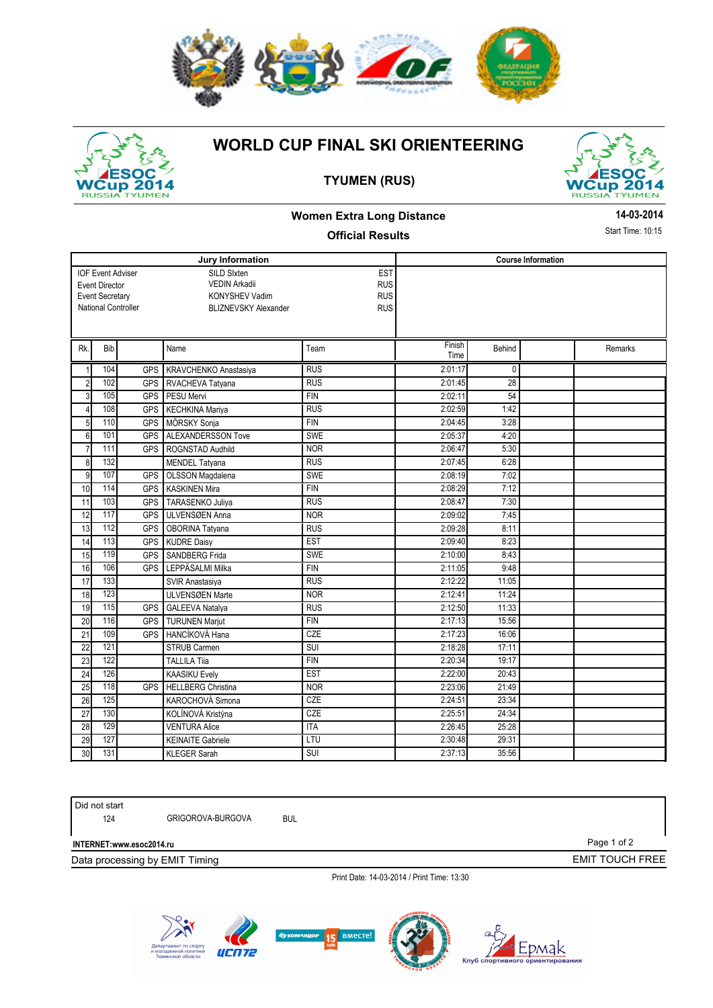



# **WORLD CUP FINAL SKI ORIENTEERING**





Page 1 of 2

EMIT TOUCH FREE

## **Women Extra Long Distance**

### **Official Results**

**14-03-2014**

Start Time: 10:15

|                  |                          |                     | Jury Information            | <b>Course Information</b> |                |              |  |         |
|------------------|--------------------------|---------------------|-----------------------------|---------------------------|----------------|--------------|--|---------|
|                  | <b>IOF Event Adviser</b> |                     | SILD Sixten                 |                           |                |              |  |         |
|                  | <b>Event Director</b>    |                     | VEDIN Arkadii               | <b>RUS</b>                |                |              |  |         |
|                  | <b>Event Secretary</b>   |                     | <b>KONYSHEV Vadim</b>       | <b>RUS</b>                |                |              |  |         |
|                  |                          | National Controller | <b>BLIZNEVSKY Alexander</b> | <b>RUS</b>                |                |              |  |         |
|                  |                          |                     |                             |                           |                |              |  |         |
| Rk.              | Bib                      |                     | Name                        | Team                      | Finish<br>Time | Behind       |  | Remarks |
| $\mathbf{1}$     | 104                      | <b>GPS</b>          | KRAVCHENKO Anastasiya       | <b>RUS</b>                | 2:01:17        | $\mathbf{0}$ |  |         |
| $\overline{2}$   | 102                      | <b>GPS</b>          | RVACHEVA Tatyana            | <b>RUS</b>                | 2:01:45        | 28           |  |         |
| 3                | 105                      | <b>GPS</b>          | PESU Mervi                  | <b>FIN</b>                | 2:02:11        | 54           |  |         |
| $\overline{4}$   | 108                      | <b>GPS</b>          | <b>KECHKINA Mariya</b>      | <b>RUS</b>                | 2:02:59        | 1:42         |  |         |
| 5                | 110                      | <b>GPS</b>          | MÖRSKY Sonja                | <b>FIN</b>                | 2:04:45        | 3:28         |  |         |
| 6                | 101                      | <b>GPS</b>          | <b>ALEXANDERSSON Tove</b>   | <b>SWE</b>                | 2:05:37        | 4:20         |  |         |
| $\overline{7}$   | 111                      | <b>GPS</b>          | ROGNSTAD Audhild            | <b>NOR</b>                | 2:06:47        | 5:30         |  |         |
| 8                | 132                      |                     | <b>MENDEL Tatvana</b>       | <b>RUS</b>                | 2:07:45        | 6:28         |  |         |
| $\boldsymbol{9}$ | 107                      | <b>GPS</b>          | <b>OLSSON Magdalena</b>     | <b>SWE</b>                | 2:08:19        | 7:02         |  |         |
| 10               | 114                      | <b>GPS</b>          | <b>KASKINEN Mira</b>        | <b>FIN</b>                | 2:08:29        | 7:12         |  |         |
| 11               | 103                      | <b>GPS</b>          | <b>TARASENKO Juliva</b>     | <b>RUS</b>                | 2:08:47        | 7:30         |  |         |
| 12               | 117                      | <b>GPS</b>          | ULVENSØEN Anna              | <b>NOR</b>                | 2:09:02        | 7:45         |  |         |
| 13               | 112                      | <b>GPS</b>          | OBORINA Tatyana             | <b>RUS</b>                | 2:09:28        | 8:11         |  |         |
| 14               | 113                      | <b>GPS</b>          | <b>KUDRE Daisy</b>          | <b>EST</b>                | 2:09:40        | 8:23         |  |         |
| 15               | 119                      | <b>GPS</b>          | <b>SANDBERG Frida</b>       | <b>SWE</b>                | 2:10:00        | 8:43         |  |         |
| 16               | 106                      | <b>GPS</b>          | LEPPÄSALMI Milka            | <b>FIN</b>                | 2:11:05        | 9:48         |  |         |
| 17               | 133                      |                     | SVIR Anastasiya             | <b>RUS</b>                | 2:12:22        | 11:05        |  |         |
| 18               | 123                      |                     | <b>ULVENSØEN Marte</b>      | <b>NOR</b>                | 2:12:41        | 11:24        |  |         |
| 19               | 115                      | <b>GPS</b>          | <b>GALEEVA Natalya</b>      | <b>RUS</b>                | 2:12:50        | 11:33        |  |         |
| 20               | 116                      | <b>GPS</b>          | <b>TURUNEN Mariut</b>       | <b>FIN</b>                | 2:17:13        | 15:56        |  |         |
| $\overline{21}$  | 109                      | <b>GPS</b>          | HANCÍKOVÁ Hana              | CZE                       | 2:17:23        | 16:06        |  |         |
| 22               | 121                      |                     | <b>STRUB Carmen</b>         | SUI                       | 2:18:28        | 17:11        |  |         |
| 23               | 122                      |                     | <b>TALLILA Tiia</b>         | <b>FIN</b>                | 2:20:34        | 19:17        |  |         |
| 24               | 126                      |                     | <b>KAASIKU Evely</b>        | <b>EST</b>                | 2:22:00        | 20:43        |  |         |
| 25               | 118                      | <b>GPS</b>          | <b>HELLBERG Christina</b>   | <b>NOR</b>                | 2:23:06        | 21:49        |  |         |
| 26               | 125                      |                     | KAROCHOVÁ Simona            | CZE                       | 2:24:51        | 23:34        |  |         |
| 27               | 130                      |                     | KOLÍNOVÁ Kristýna           | CZE                       | 2:25:51        | 24:34        |  |         |
| 28               | 129                      |                     | <b>VENTURA Alice</b>        | <b>ITA</b>                | 2:26:45        | 25:28        |  |         |
| 29               | 127                      |                     | <b>KEINAITE Gabriele</b>    | LTU                       | 2:30:48        | 29:31        |  |         |
| 30               | 131                      |                     | <b>KLEGER Sarah</b>         | SUI                       | 2:37:13        | 35:56        |  |         |

Did not start

124 GRIGOROVA-BURGOVA BUL

**INTERNET:www.esoc2014.ru** 

Data processing by EMIT Timing

Print Date: 14-03-2014 / Print Time: 13:30